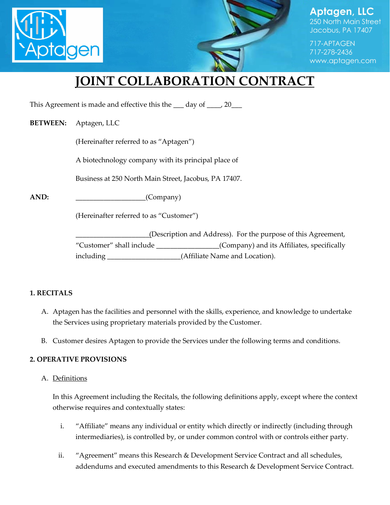



250 North Main Street Jacobus, PA 17407

717-APTAGEN 717-278-2436 www.aptagen.com

# **JOINT COLLABORATION CONTRACT**

This Agreement is made and effective this the \_\_\_ day of \_\_\_\_, 20\_\_\_

#### **BETWEEN:** Aptagen, LLC

(Hereinafter referred to as "Aptagen")

A biotechnology company with its principal place of

Business at 250 North Main Street, Jacobus, PA 17407.

AND:  $(Comparly)$ 

(Hereinafter referred to as "Customer")

\_\_\_\_\_\_\_\_\_\_\_\_\_\_\_\_\_\_\_\_\_(Description and Address). For the purpose of this Agreement, "Customer" shall include \_\_\_\_\_\_\_\_\_\_\_\_\_\_\_\_\_\_(Company) and its Affiliates, specifically including \_\_\_\_\_\_\_\_\_\_\_\_\_\_\_\_\_\_\_\_\_(Affiliate Name and Location).

#### **1. RECITALS**

- A. Aptagen has the facilities and personnel with the skills, experience, and knowledge to undertake the Services using proprietary materials provided by the Customer.
- B. Customer desires Aptagen to provide the Services under the following terms and conditions.

#### **2. OPERATIVE PROVISIONS**

#### A. Definitions

In this Agreement including the Recitals, the following definitions apply, except where the context otherwise requires and contextually states:

- i. "Affiliate" means any individual or entity which directly or indirectly (including through intermediaries), is controlled by, or under common control with or controls either party.
- ii. "Agreement" means this Research & Development Service Contract and all schedules, addendums and executed amendments to this Research & Development Service Contract.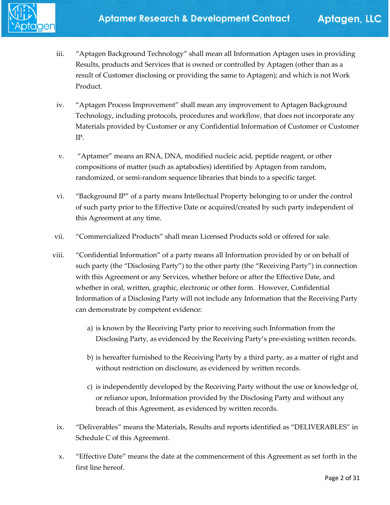

- iii. "Aptagen Background Technology" shall mean all Information Aptagen uses in providing Results, products and Services that is owned or controlled by Aptagen (other than as a result of Customer disclosing or providing the same to Aptagen); and which is not Work Product.
- iv. "Aptagen Process Improvement" shall mean any improvement to Aptagen Background Technology, including protocols, procedures and workflow, that does not incorporate any Materials provided by Customer or any Confidential Information of Customer or Customer IP.
- v. "Aptamer" means an RNA, DNA, modified nucleic acid, peptide reagent, or other compositions of matter (such as aptabodies) identified by Aptagen from random, randomized, or semi-random sequence libraries that binds to a specific target.
- vi. "Background IP" of a party means Intellectual Property belonging to or under the control of such party prior to the Effective Date or acquired/created by such party independent of this Agreement at any time.
- vii. "Commercialized Products" shall mean Licensed Products sold or offered for sale.
- viii. "Confidential Information" of a party means all Information provided by or on behalf of such party (the "Disclosing Party") to the other party (the "Receiving Party") in connection with this Agreement or any Services, whether before or after the Effective Date, and whether in oral, written, graphic, electronic or other form. However, Confidential Information of a Disclosing Party will not include any Information that the Receiving Party can demonstrate by competent evidence:
	- a) is known by the Receiving Party prior to receiving such Information from the Disclosing Party, as evidenced by the Receiving Party's pre-existing written records.
	- b) is hereafter furnished to the Receiving Party by a third party, as a matter of right and without restriction on disclosure, as evidenced by written records.
	- c) is independently developed by the Receiving Party without the use or knowledge of, or reliance upon, Information provided by the Disclosing Party and without any breach of this Agreement, as evidenced by written records.
- ix. "Deliverables" means the Materials, Results and reports identified as "DELIVERABLES" in Schedule C of this Agreement.
- x. "Effective Date" means the date at the commencement of this Agreement as set forth in the first line hereof.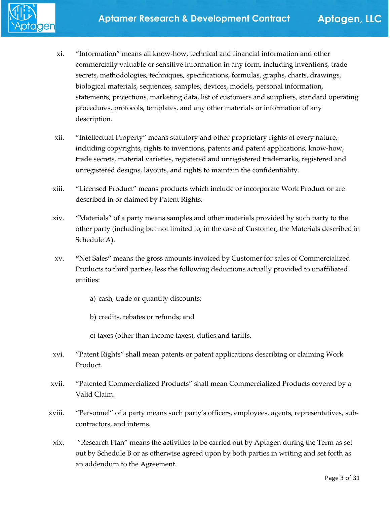

- xi. "Information" means all know-how, technical and financial information and other commercially valuable or sensitive information in any form, including inventions, trade secrets, methodologies, techniques, specifications, formulas, graphs, charts, drawings, biological materials, sequences, samples, devices, models, personal information, statements, projections, marketing data, list of customers and suppliers, standard operating procedures, protocols, templates, and any other materials or information of any description.
- xii. "Intellectual Property" means statutory and other proprietary rights of every nature, including copyrights, rights to inventions, patents and patent applications, know-how, trade secrets, material varieties, registered and unregistered trademarks, registered and unregistered designs, layouts, and rights to maintain the confidentiality.
- xiii. "Licensed Product" means products which include or incorporate Work Product or are described in or claimed by Patent Rights.
- xiv. "Materials" of a party means samples and other materials provided by such party to the other party (including but not limited to, in the case of Customer, the Materials described in Schedule A).
- xv. **"**Net Sales**"** means the gross amounts invoiced by Customer for sales of Commercialized Products to third parties, less the following deductions actually provided to unaffiliated entities:
	- a) cash, trade or quantity discounts;
	- b) credits, rebates or refunds; and
	- c) taxes (other than income taxes), duties and tariffs.
- xvi. "Patent Rights" shall mean patents or patent applications describing or claiming Work Product.
- xvii. "Patented Commercialized Products" shall mean Commercialized Products covered by a Valid Claim.
- xviii. "Personnel" of a party means such party's officers, employees, agents, representatives, subcontractors, and interns.
	- xix. "Research Plan" means the activities to be carried out by Aptagen during the Term as set out by Schedule B or as otherwise agreed upon by both parties in writing and set forth as an addendum to the Agreement.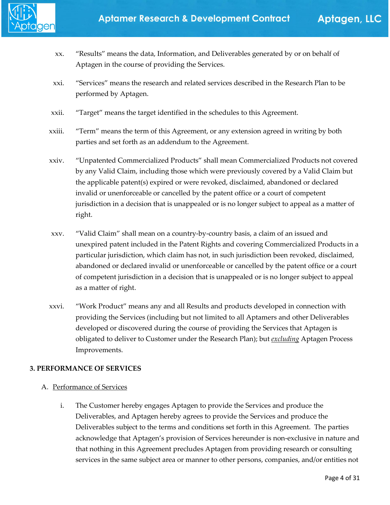- xx. "Results" means the data, Information, and Deliverables generated by or on behalf of Aptagen in the course of providing the Services.
- xxi. "Services" means the research and related services described in the Research Plan to be performed by Aptagen.
- xxii. "Target" means the target identified in the schedules to this Agreement.
- xxiii. "Term" means the term of this Agreement, or any extension agreed in writing by both parties and set forth as an addendum to the Agreement.
- xxiv. "Unpatented Commercialized Products" shall mean Commercialized Products not covered by any Valid Claim, including those which were previously covered by a Valid Claim but the applicable patent(s) expired or were revoked, disclaimed, abandoned or declared invalid or unenforceable or cancelled by the patent office or a court of competent jurisdiction in a decision that is unappealed or is no longer subject to appeal as a matter of right.
- xxv. "Valid Claim" shall mean on a country-by-country basis, a claim of an issued and unexpired patent included in the Patent Rights and covering Commercialized Products in a particular jurisdiction, which claim has not, in such jurisdiction been revoked, disclaimed, abandoned or declared invalid or unenforceable or cancelled by the patent office or a court of competent jurisdiction in a decision that is unappealed or is no longer subject to appeal as a matter of right.
- xxvi. "Work Product" means any and all Results and products developed in connection with providing the Services (including but not limited to all Aptamers and other Deliverables developed or discovered during the course of providing the Services that Aptagen is obligated to deliver to Customer under the Research Plan); but *excluding* Aptagen Process Improvements.

#### **3. PERFORMANCE OF SERVICES**

#### A. Performance of Services

i. The Customer hereby engages Aptagen to provide the Services and produce the Deliverables, and Aptagen hereby agrees to provide the Services and produce the Deliverables subject to the terms and conditions set forth in this Agreement. The parties acknowledge that Aptagen's provision of Services hereunder is non-exclusive in nature and that nothing in this Agreement precludes Aptagen from providing research or consulting services in the same subject area or manner to other persons, companies, and/or entities not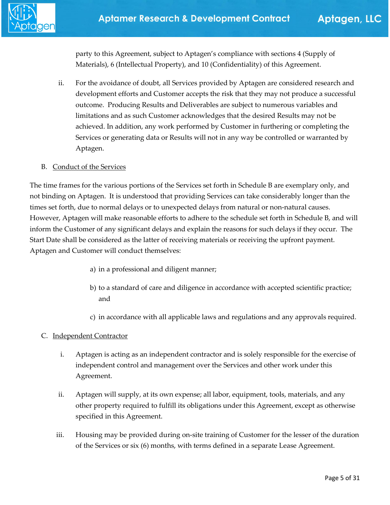

party to this Agreement, subject to Aptagen's compliance with sections 4 (Supply of Materials), 6 (Intellectual Property), and 10 (Confidentiality) of this Agreement.

ii. For the avoidance of doubt, all Services provided by Aptagen are considered research and development efforts and Customer accepts the risk that they may not produce a successful outcome. Producing Results and Deliverables are subject to numerous variables and limitations and as such Customer acknowledges that the desired Results may not be achieved. In addition, any work performed by Customer in furthering or completing the Services or generating data or Results will not in any way be controlled or warranted by Aptagen.

#### B. Conduct of the Services

The time frames for the various portions of the Services set forth in Schedule B are exemplary only, and not binding on Aptagen. It is understood that providing Services can take considerably longer than the times set forth, due to normal delays or to unexpected delays from natural or non-natural causes. However, Aptagen will make reasonable efforts to adhere to the schedule set forth in Schedule B, and will inform the Customer of any significant delays and explain the reasons for such delays if they occur. The Start Date shall be considered as the latter of receiving materials or receiving the upfront payment. Aptagen and Customer will conduct themselves:

- a) in a professional and diligent manner;
- b) to a standard of care and diligence in accordance with accepted scientific practice; and
- c) in accordance with all applicable laws and regulations and any approvals required.

#### C. Independent Contractor

- i. Aptagen is acting as an independent contractor and is solely responsible for the exercise of independent control and management over the Services and other work under this Agreement.
- ii. Aptagen will supply, at its own expense; all labor, equipment, tools, materials, and any other property required to fulfill its obligations under this Agreement, except as otherwise specified in this Agreement.
- iii. Housing may be provided during on-site training of Customer for the lesser of the duration of the Services or six (6) months, with terms defined in a separate Lease Agreement.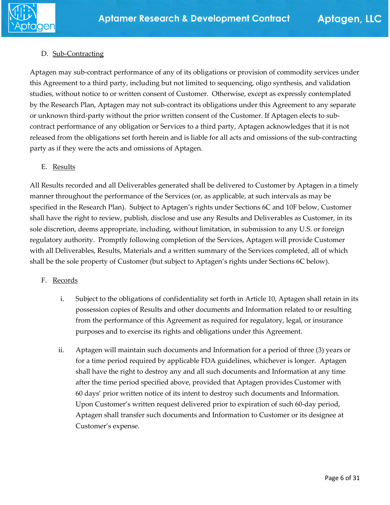

#### D. Sub-Contracting

Aptagen may sub-contract performance of any of its obligations or provision of commodity services under this Agreement to a third party, including but not limited to sequencing, oligo synthesis, and validation studies, without notice to or written consent of Customer. Otherwise, except as expressly contemplated by the Research Plan, Aptagen may not sub-contract its obligations under this Agreement to any separate or unknown third-party without the prior written consent of the Customer. If Aptagen elects to subcontract performance of any obligation or Services to a third party, Aptagen acknowledges that it is not released from the obligations set forth herein and is liable for all acts and omissions of the sub-contracting party as if they were the acts and omissions of Aptagen.

#### E. Results

All Results recorded and all Deliverables generated shall be delivered to Customer by Aptagen in a timely manner throughout the performance of the Services (or, as applicable, at such intervals as may be specified in the Research Plan). Subject to Aptagen's rights under Sections 6C and 10F below, Customer shall have the right to review, publish, disclose and use any Results and Deliverables as Customer, in its sole discretion, deems appropriate, including, without limitation, in submission to any U.S. or foreign regulatory authority. Promptly following completion of the Services, Aptagen will provide Customer with all Deliverables, Results, Materials and a written summary of the Services completed, all of which shall be the sole property of Customer (but subject to Aptagen's rights under Sections 6C below).

#### F. Records

- i. Subject to the obligations of confidentiality set forth in Article 10, Aptagen shall retain in its possession copies of Results and other documents and Information related to or resulting from the performance of this Agreement as required for regulatory, legal, or insurance purposes and to exercise its rights and obligations under this Agreement.
- ii. Aptagen will maintain such documents and Information for a period of three (3) years or for a time period required by applicable FDA guidelines, whichever is longer. Aptagen shall have the right to destroy any and all such documents and Information at any time after the time period specified above, provided that Aptagen provides Customer with 60 days' prior written notice of its intent to destroy such documents and Information. Upon Customer's written request delivered prior to expiration of such 60-day period, Aptagen shall transfer such documents and Information to Customer or its designee at Customer's expense.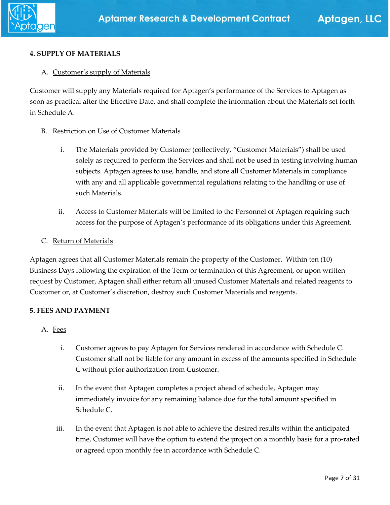#### **4. SUPPLY OF MATERIALS**

#### A. Customer's supply of Materials

Customer will supply any Materials required for Aptagen's performance of the Services to Aptagen as soon as practical after the Effective Date, and shall complete the information about the Materials set forth in Schedule A.

#### B. Restriction on Use of Customer Materials

- i. The Materials provided by Customer (collectively, "Customer Materials") shall be used solely as required to perform the Services and shall not be used in testing involving human subjects. Aptagen agrees to use, handle, and store all Customer Materials in compliance with any and all applicable governmental regulations relating to the handling or use of such Materials.
- ii. Access to Customer Materials will be limited to the Personnel of Aptagen requiring such access for the purpose of Aptagen's performance of its obligations under this Agreement.
- C. Return of Materials

Aptagen agrees that all Customer Materials remain the property of the Customer. Within ten (10) Business Days following the expiration of the Term or termination of this Agreement, or upon written request by Customer, Aptagen shall either return all unused Customer Materials and related reagents to Customer or, at Customer's discretion, destroy such Customer Materials and reagents.

#### **5. FEES AND PAYMENT**

- A. Fees
	- i. Customer agrees to pay Aptagen for Services rendered in accordance with Schedule C. Customer shall not be liable for any amount in excess of the amounts specified in Schedule C without prior authorization from Customer.
	- ii. In the event that Aptagen completes a project ahead of schedule, Aptagen may immediately invoice for any remaining balance due for the total amount specified in Schedule C.
	- iii. In the event that Aptagen is not able to achieve the desired results within the anticipated time, Customer will have the option to extend the project on a monthly basis for a pro-rated or agreed upon monthly fee in accordance with Schedule C.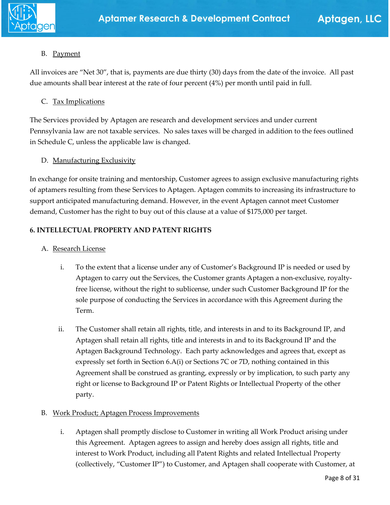

#### B. Payment

All invoices are "Net 30", that is, payments are due thirty (30) days from the date of the invoice. All past due amounts shall bear interest at the rate of four percent (4%) per month until paid in full.

#### C. Tax Implications

The Services provided by Aptagen are research and development services and under current Pennsylvania law are not taxable services. No sales taxes will be charged in addition to the fees outlined in Schedule C, unless the applicable law is changed.

#### D. Manufacturing Exclusivity

In exchange for onsite training and mentorship, Customer agrees to assign exclusive manufacturing rights of aptamers resulting from these Services to Aptagen. Aptagen commits to increasing its infrastructure to support anticipated manufacturing demand. However, in the event Aptagen cannot meet Customer demand, Customer has the right to buy out of this clause at a value of \$175,000 per target.

#### **6. INTELLECTUAL PROPERTY AND PATENT RIGHTS**

#### A. Research License

- i. To the extent that a license under any of Customer's Background IP is needed or used by Aptagen to carry out the Services, the Customer grants Aptagen a non-exclusive, royaltyfree license, without the right to sublicense, under such Customer Background IP for the sole purpose of conducting the Services in accordance with this Agreement during the Term.
- ii. The Customer shall retain all rights, title, and interests in and to its Background IP, and Aptagen shall retain all rights, title and interests in and to its Background IP and the Aptagen Background Technology. Each party acknowledges and agrees that, except as expressly set forth in Section 6.A(i) or Sections 7C or 7D, nothing contained in this Agreement shall be construed as granting, expressly or by implication, to such party any right or license to Background IP or Patent Rights or Intellectual Property of the other party.

#### B. Work Product; Aptagen Process Improvements

i. Aptagen shall promptly disclose to Customer in writing all Work Product arising under this Agreement. Aptagen agrees to assign and hereby does assign all rights, title and interest to Work Product, including all Patent Rights and related Intellectual Property (collectively, "Customer IP") to Customer, and Aptagen shall cooperate with Customer, at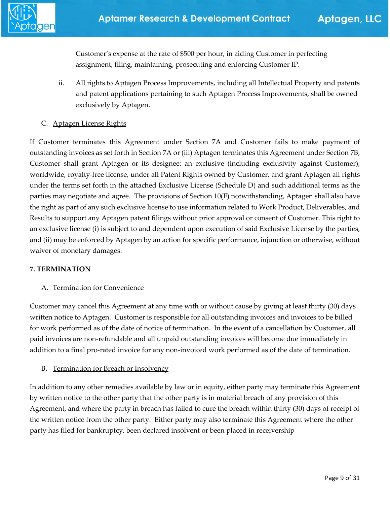

Customer's expense at the rate of \$500 per hour, in aiding Customer in perfecting assignment, filing, maintaining, prosecuting and enforcing Customer IP.

- ii. All rights to Aptagen Process Improvements, including all Intellectual Property and patents and patent applications pertaining to such Aptagen Process Improvements, shall be owned exclusively by Aptagen.
- C. Aptagen License Rights

If Customer terminates this Agreement under Section 7A and Customer fails to make payment of outstanding invoices as set forth in Section 7A or (iii) Aptagen terminates this Agreement under Section 7B, Customer shall grant Aptagen or its designee: an exclusive (including exclusivity against Customer), worldwide, royalty-free license, under all Patent Rights owned by Customer, and grant Aptagen all rights under the terms set forth in the attached Exclusive License (Schedule D) and such additional terms as the parties may negotiate and agree. The provisions of Section 10(F) notwithstanding, Aptagen shall also have the right as part of any such exclusive license to use information related to Work Product, Deliverables, and Results to support any Aptagen patent filings without prior approval or consent of Customer. This right to an exclusive license (i) is subject to and dependent upon execution of said Exclusive License by the parties, and (ii) may be enforced by Aptagen by an action for specific performance, injunction or otherwise, without waiver of monetary damages.

#### **7. TERMINATION**

#### A. Termination for Convenience

Customer may cancel this Agreement at any time with or without cause by giving at least thirty (30) days written notice to Aptagen. Customer is responsible for all outstanding invoices and invoices to be billed for work performed as of the date of notice of termination. In the event of a cancellation by Customer, all paid invoices are non-refundable and all unpaid outstanding invoices will become due immediately in addition to a final pro-rated invoice for any non-invoiced work performed as of the date of termination.

#### B. Termination for Breach or Insolvency

In addition to any other remedies available by law or in equity, either party may terminate this Agreement by written notice to the other party that the other party is in material breach of any provision of this Agreement, and where the party in breach has failed to cure the breach within thirty (30) days of receipt of the written notice from the other party. Either party may also terminate this Agreement where the other party has filed for bankruptcy, been declared insolvent or been placed in receivership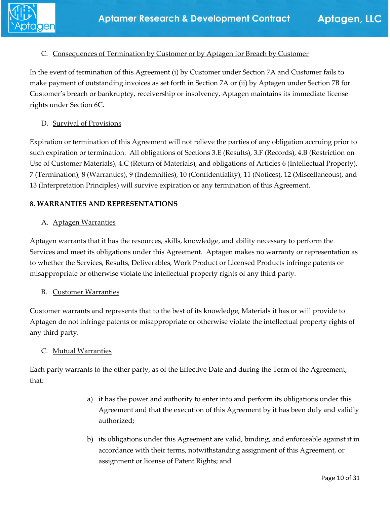#### C. Consequences of Termination by Customer or by Aptagen for Breach by Customer

In the event of termination of this Agreement (i) by Customer under Section 7A and Customer fails to make payment of outstanding invoices as set forth in Section 7A or (ii) by Aptagen under Section 7B for Customer's breach or bankruptcy, receivership or insolvency, Aptagen maintains its immediate license rights under Section 6C.

#### D. Survival of Provisions

Expiration or termination of this Agreement will not relieve the parties of any obligation accruing prior to such expiration or termination. All obligations of Sections 3.E (Results), 3.F (Records), 4.B (Restriction on Use of Customer Materials), 4.C (Return of Materials), and obligations of Articles 6 (Intellectual Property), 7 (Termination), 8 (Warranties), 9 (Indemnities), 10 (Confidentiality), 11 (Notices), 12 (Miscellaneous), and 13 (Interpretation Principles) will survive expiration or any termination of this Agreement.

#### **8. WARRANTIES AND REPRESENTATIONS**

#### A. Aptagen Warranties

Aptagen warrants that it has the resources, skills, knowledge, and ability necessary to perform the Services and meet its obligations under this Agreement. Aptagen makes no warranty or representation as to whether the Services, Results, Deliverables, Work Product or Licensed Products infringe patents or misappropriate or otherwise violate the intellectual property rights of any third party.

#### B. Customer Warranties

Customer warrants and represents that to the best of its knowledge, Materials it has or will provide to Aptagen do not infringe patents or misappropriate or otherwise violate the intellectual property rights of any third party.

#### C. Mutual Warranties

Each party warrants to the other party, as of the Effective Date and during the Term of the Agreement, that:

- a) it has the power and authority to enter into and perform its obligations under this Agreement and that the execution of this Agreement by it has been duly and validly authorized;
- b) its obligations under this Agreement are valid, binding, and enforceable against it in accordance with their terms, notwithstanding assignment of this Agreement, or assignment or license of Patent Rights; and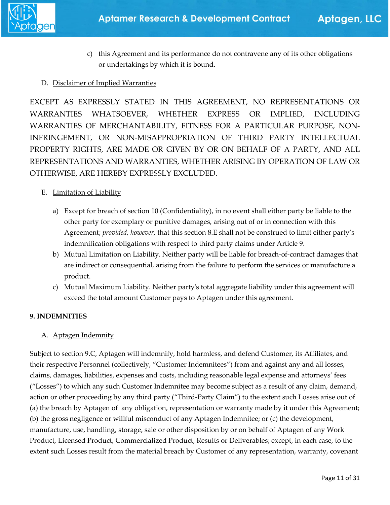

c) this Agreement and its performance do not contravene any of its other obligations or undertakings by which it is bound.

#### D. Disclaimer of Implied Warranties

EXCEPT AS EXPRESSLY STATED IN THIS AGREEMENT, NO REPRESENTATIONS OR WARRANTIES WHATSOEVER, WHETHER EXPRESS OR IMPLIED, INCLUDING WARRANTIES OF MERCHANTABILITY, FITNESS FOR A PARTICULAR PURPOSE, NON-INFRINGEMENT, OR NON-MISAPPROPRIATION OF THIRD PARTY INTELLECTUAL PROPERTY RIGHTS, ARE MADE OR GIVEN BY OR ON BEHALF OF A PARTY, AND ALL REPRESENTATIONS AND WARRANTIES, WHETHER ARISING BY OPERATION OF LAW OR OTHERWISE, ARE HEREBY EXPRESSLY EXCLUDED.

#### E. Limitation of Liability

- a) Except for breach of section 10 (Confidentiality), in no event shall either party be liable to the other party for exemplary or punitive damages, arising out of or in connection with this Agreement; *provided, however,* that this section 8.E shall not be construed to limit either party's indemnification obligations with respect to third party claims under Article 9.
- b) Mutual Limitation on Liability. Neither party will be liable for breach-of-contract damages that are indirect or consequential, arising from the failure to perform the services or manufacture a product.
- c) Mutual Maximum Liability. Neither party's total aggregate liability under this agreement will exceed the total amount Customer pays to Aptagen under this agreement.

#### **9. INDEMNITIES**

#### A. Aptagen Indemnity

Subject to section 9.C, Aptagen will indemnify, hold harmless, and defend Customer, its Affiliates, and their respective Personnel (collectively, "Customer Indemnitees") from and against any and all losses, claims, damages, liabilities, expenses and costs, including reasonable legal expense and attorneys' fees ("Losses") to which any such Customer Indemnitee may become subject as a result of any claim, demand, action or other proceeding by any third party ("Third-Party Claim") to the extent such Losses arise out of (a) the breach by Aptagen of any obligation, representation or warranty made by it under this Agreement; (b) the gross negligence or willful misconduct of any Aptagen Indemnitee; or (c) the development, manufacture, use, handling, storage, sale or other disposition by or on behalf of Aptagen of any Work Product, Licensed Product, Commercialized Product, Results or Deliverables; except, in each case, to the extent such Losses result from the material breach by Customer of any representation, warranty, covenant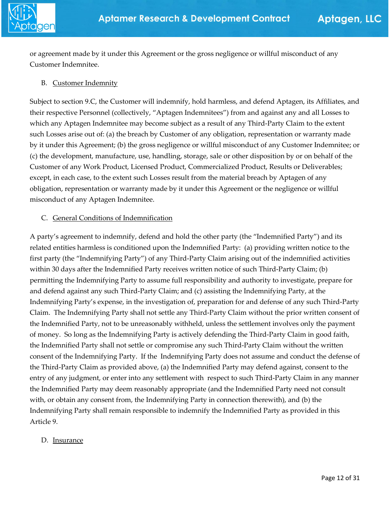

or agreement made by it under this Agreement or the gross negligence or willful misconduct of any Customer Indemnitee.

#### B. Customer Indemnity

Subject to section 9.C, the Customer will indemnify, hold harmless, and defend Aptagen, its Affiliates, and their respective Personnel (collectively, "Aptagen Indemnitees") from and against any and all Losses to which any Aptagen Indemnitee may become subject as a result of any Third-Party Claim to the extent such Losses arise out of: (a) the breach by Customer of any obligation, representation or warranty made by it under this Agreement; (b) the gross negligence or willful misconduct of any Customer Indemnitee; or (c) the development, manufacture, use, handling, storage, sale or other disposition by or on behalf of the Customer of any Work Product, Licensed Product, Commercialized Product, Results or Deliverables; except, in each case, to the extent such Losses result from the material breach by Aptagen of any obligation, representation or warranty made by it under this Agreement or the negligence or willful misconduct of any Aptagen Indemnitee.

#### C. General Conditions of Indemnification

A party's agreement to indemnify, defend and hold the other party (the "Indemnified Party") and its related entities harmless is conditioned upon the Indemnified Party: (a) providing written notice to the first party (the "Indemnifying Party") of any Third-Party Claim arising out of the indemnified activities within 30 days after the Indemnified Party receives written notice of such Third-Party Claim; (b) permitting the Indemnifying Party to assume full responsibility and authority to investigate, prepare for and defend against any such Third-Party Claim; and (c) assisting the Indemnifying Party, at the Indemnifying Party's expense, in the investigation of, preparation for and defense of any such Third-Party Claim. The Indemnifying Party shall not settle any Third-Party Claim without the prior written consent of the Indemnified Party, not to be unreasonably withheld, unless the settlement involves only the payment of money. So long as the Indemnifying Party is actively defending the Third-Party Claim in good faith, the Indemnified Party shall not settle or compromise any such Third-Party Claim without the written consent of the Indemnifying Party. If the Indemnifying Party does not assume and conduct the defense of the Third-Party Claim as provided above, (a) the Indemnified Party may defend against, consent to the entry of any judgment, or enter into any settlement with respect to such Third-Party Claim in any manner the Indemnified Party may deem reasonably appropriate (and the Indemnified Party need not consult with, or obtain any consent from, the Indemnifying Party in connection therewith), and (b) the Indemnifying Party shall remain responsible to indemnify the Indemnified Party as provided in this Article 9.

#### D. Insurance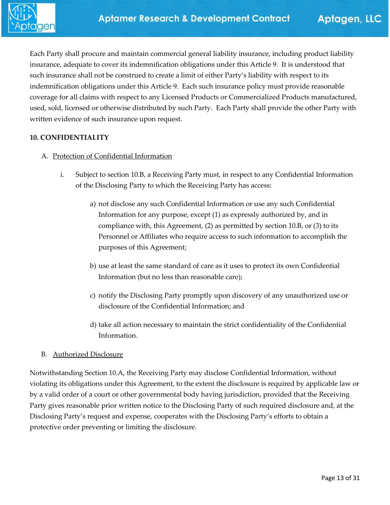Each Party shall procure and maintain commercial general liability insurance, including product liability insurance, adequate to cover its indemnification obligations under this Article 9. It is understood that such insurance shall not be construed to create a limit of either Party's liability with respect to its indemnification obligations under this Article 9. Each such insurance policy must provide reasonable coverage for all claims with respect to any Licensed Products or Commercialized Products manufactured, used, sold, licensed or otherwise distributed by such Party. Each Party shall provide the other Party with written evidence of such insurance upon request.

#### **10. CONFIDENTIALITY**

#### A. Protection of Confidential Information

- i. Subject to section 10.B, a Receiving Party must, in respect to any Confidential Information of the Disclosing Party to which the Receiving Party has access:
	- a) not disclose any such Confidential Information or use any such Confidential Information for any purpose, except (1) as expressly authorized by, and in compliance with, this Agreement, (2) as permitted by section 10.B, or (3) to its Personnel or Affiliates who require access to such information to accomplish the purposes of this Agreement;
	- b) use at least the same standard of care as it uses to protect its own Confidential Information (but no less than reasonable care);
	- c) notify the Disclosing Party promptly upon discovery of any unauthorized use or disclosure of the Confidential Information; and
	- d) take all action necessary to maintain the strict confidentiality of the Confidential Information.

#### B. Authorized Disclosure

Notwithstanding Section 10.A, the Receiving Party may disclose Confidential Information, without violating its obligations under this Agreement, to the extent the disclosure is required by applicable law or by a valid order of a court or other governmental body having jurisdiction, provided that the Receiving Party gives reasonable prior written notice to the Disclosing Party of such required disclosure and, at the Disclosing Party's request and expense, cooperates with the Disclosing Party's efforts to obtain a protective order preventing or limiting the disclosure.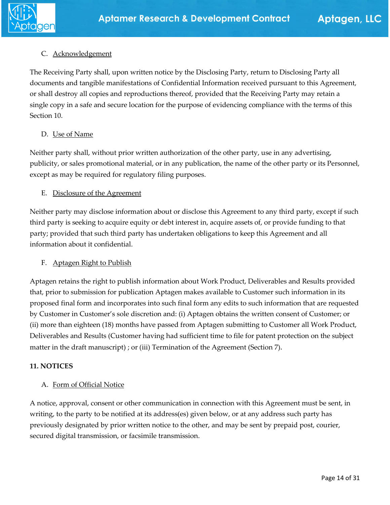#### C. Acknowledgement

The Receiving Party shall, upon written notice by the Disclosing Party, return to Disclosing Party all documents and tangible manifestations of Confidential Information received pursuant to this Agreement, or shall destroy all copies and reproductions thereof, provided that the Receiving Party may retain a single copy in a safe and secure location for the purpose of evidencing compliance with the terms of this Section 10.

#### D. Use of Name

Neither party shall, without prior written authorization of the other party, use in any advertising, publicity, or sales promotional material, or in any publication, the name of the other party or its Personnel, except as may be required for regulatory filing purposes.

#### E. Disclosure of the Agreement

Neither party may disclose information about or disclose this Agreement to any third party, except if such third party is seeking to acquire equity or debt interest in, acquire assets of, or provide funding to that party; provided that such third party has undertaken obligations to keep this Agreement and all information about it confidential.

#### F. Aptagen Right to Publish

Aptagen retains the right to publish information about Work Product, Deliverables and Results provided that, prior to submission for publication Aptagen makes available to Customer such information in its proposed final form and incorporates into such final form any edits to such information that are requested by Customer in Customer's sole discretion and: (i) Aptagen obtains the written consent of Customer; or (ii) more than eighteen (18) months have passed from Aptagen submitting to Customer all Work Product, Deliverables and Results (Customer having had sufficient time to file for patent protection on the subject matter in the draft manuscript) ; or (iii) Termination of the Agreement (Section 7).

#### **11. NOTICES**

#### A. Form of Official Notice

A notice, approval, consent or other communication in connection with this Agreement must be sent, in writing, to the party to be notified at its address(es) given below, or at any address such party has previously designated by prior written notice to the other, and may be sent by prepaid post, courier, secured digital transmission, or facsimile transmission.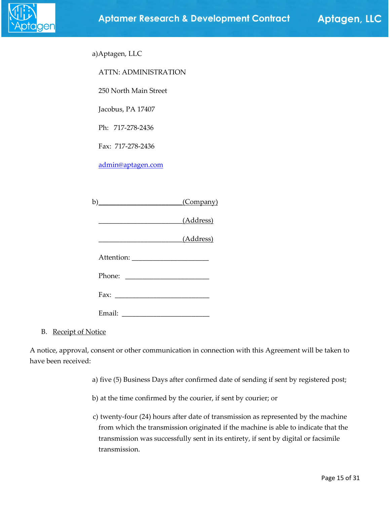

Aptagen, LLC

| <b>ATTN: ADMINISTRATION</b>                                                                                          |           |
|----------------------------------------------------------------------------------------------------------------------|-----------|
| 250 North Main Street                                                                                                |           |
| Jacobus, PA 17407                                                                                                    |           |
| Ph: 717-278-2436                                                                                                     |           |
| Fax: 717-278-2436                                                                                                    |           |
| admin@aptagen.com                                                                                                    |           |
|                                                                                                                      |           |
| b) (Company)                                                                                                         |           |
| <u> 1989 - Johann Barn, mars ar breithinn ar breithinn ar breithinn ar breithinn ar breithinn ar breithinn ar br</u> | (Address) |
| (Address)                                                                                                            |           |
|                                                                                                                      |           |
|                                                                                                                      |           |
|                                                                                                                      |           |
|                                                                                                                      |           |

a)Aptagen, LLC

B. Receipt of Notice

A notice, approval, consent or other communication in connection with this Agreement will be taken to have been received:

- a) five (5) Business Days after confirmed date of sending if sent by registered post;
- b) at the time confirmed by the courier, if sent by courier; or
- c) twenty-four (24) hours after date of transmission as represented by the machine from which the transmission originated if the machine is able to indicate that the transmission was successfully sent in its entirety, if sent by digital or facsimile transmission.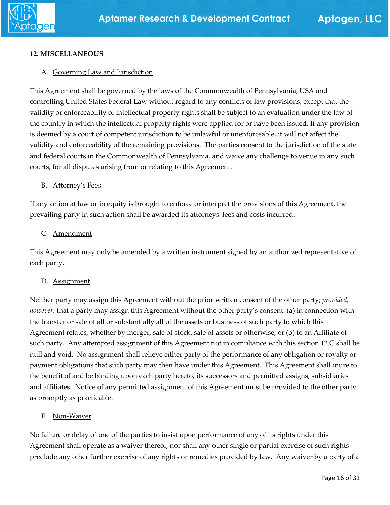

#### **12. MISCELLANEOUS**

#### A. Governing Law and Jurisdiction

This Agreement shall be governed by the laws of the Commonwealth of Pennsylvania, USA and controlling United States Federal Law without regard to any conflicts of law provisions, except that the validity or enforceability of intellectual property rights shall be subject to an evaluation under the law of the country in which the intellectual property rights were applied for or have been issued. If any provision is deemed by a court of competent jurisdiction to be unlawful or unenforceable, it will not affect the validity and enforceability of the remaining provisions. The parties consent to the jurisdiction of the state and federal courts in the Commonwealth of Pennsylvania, and waive any challenge to venue in any such courts, for all disputes arising from or relating to this Agreement.

#### B. Attorney's Fees

If any action at law or in equity is brought to enforce or interpret the provisions of this Agreement, the prevailing party in such action shall be awarded its attorneys' fees and costs incurred.

#### C. Amendment

This Agreement may only be amended by a written instrument signed by an authorized representative of each party.

#### D. Assignment

Neither party may assign this Agreement without the prior written consent of the other party; *provided, however,* that a party may assign this Agreement without the other party's consent: (a) in connection with the transfer or sale of all or substantially all of the assets or business of such party to which this Agreement relates, whether by merger, sale of stock, sale of assets or otherwise; or (b) to an Affiliate of such party. Any attempted assignment of this Agreement not in compliance with this section 12.C shall be null and void. No assignment shall relieve either party of the performance of any obligation or royalty or payment obligations that such party may then have under this Agreement. This Agreement shall inure to the benefit of and be binding upon each party hereto, its successors and permitted assigns, subsidiaries and affiliates. Notice of any permitted assignment of this Agreement must be provided to the other party as promptly as practicable.

#### E. Non-Waiver

No failure or delay of one of the parties to insist upon performance of any of its rights under this Agreement shall operate as a waiver thereof, nor shall any other single or partial exercise of such rights preclude any other further exercise of any rights or remedies provided by law. Any waiver by a party of a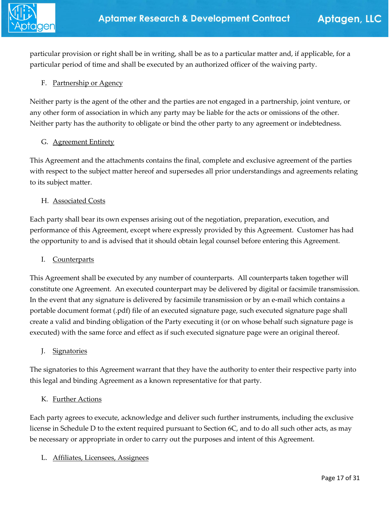

particular provision or right shall be in writing, shall be as to a particular matter and, if applicable, for a particular period of time and shall be executed by an authorized officer of the waiving party.

#### F. Partnership or Agency

Neither party is the agent of the other and the parties are not engaged in a partnership, joint venture, or any other form of association in which any party may be liable for the acts or omissions of the other. Neither party has the authority to obligate or bind the other party to any agreement or indebtedness.

#### G. **Agreement Entirety**

This Agreement and the attachments contains the final, complete and exclusive agreement of the parties with respect to the subject matter hereof and supersedes all prior understandings and agreements relating to its subject matter.

#### H. Associated Costs

Each party shall bear its own expenses arising out of the negotiation, preparation, execution, and performance of this Agreement, except where expressly provided by this Agreement. Customer has had the opportunity to and is advised that it should obtain legal counsel before entering this Agreement.

#### I. Counterparts

This Agreement shall be executed by any number of counterparts. All counterparts taken together will constitute one Agreement. An executed counterpart may be delivered by digital or facsimile transmission. In the event that any signature is delivered by facsimile transmission or by an e-mail which contains a portable document format (.pdf) file of an executed signature page, such executed signature page shall create a valid and binding obligation of the Party executing it (or on whose behalf such signature page is executed) with the same force and effect as if such executed signature page were an original thereof.

#### J. Signatories

The signatories to this Agreement warrant that they have the authority to enter their respective party into this legal and binding Agreement as a known representative for that party.

#### K. Further Actions

Each party agrees to execute, acknowledge and deliver such further instruments, including the exclusive license in Schedule D to the extent required pursuant to Section 6C, and to do all such other acts, as may be necessary or appropriate in order to carry out the purposes and intent of this Agreement.

L. Affiliates, Licensees, Assignees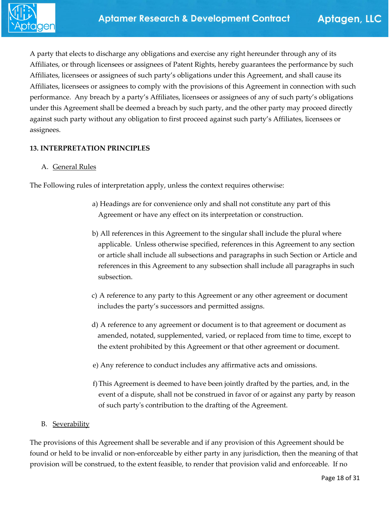

A party that elects to discharge any obligations and exercise any right hereunder through any of its Affiliates, or through licensees or assignees of Patent Rights, hereby guarantees the performance by such Affiliates, licensees or assignees of such party's obligations under this Agreement, and shall cause its Affiliates, licensees or assignees to comply with the provisions of this Agreement in connection with such performance. Any breach by a party's Affiliates, licensees or assignees of any of such party's obligations under this Agreement shall be deemed a breach by such party, and the other party may proceed directly against such party without any obligation to first proceed against such party's Affiliates, licensees or assignees.

#### **13. INTERPRETATION PRINCIPLES**

#### A. General Rules

The Following rules of interpretation apply, unless the context requires otherwise:

- a) Headings are for convenience only and shall not constitute any part of this Agreement or have any effect on its interpretation or construction.
- b) All references in this Agreement to the singular shall include the plural where applicable. Unless otherwise specified, references in this Agreement to any section or article shall include all subsections and paragraphs in such Section or Article and references in this Agreement to any subsection shall include all paragraphs in such subsection.
- c) A reference to any party to this Agreement or any other agreement or document includes the party's successors and permitted assigns.
- d) A reference to any agreement or document is to that agreement or document as amended, notated, supplemented, varied, or replaced from time to time, except to the extent prohibited by this Agreement or that other agreement or document.
- e) Any reference to conduct includes any affirmative acts and omissions.
- f)This Agreement is deemed to have been jointly drafted by the parties, and, in the event of a dispute, shall not be construed in favor of or against any party by reason of such party's contribution to the drafting of the Agreement.

#### B. Severability

The provisions of this Agreement shall be severable and if any provision of this Agreement should be found or held to be invalid or non-enforceable by either party in any jurisdiction, then the meaning of that provision will be construed, to the extent feasible, to render that provision valid and enforceable. If no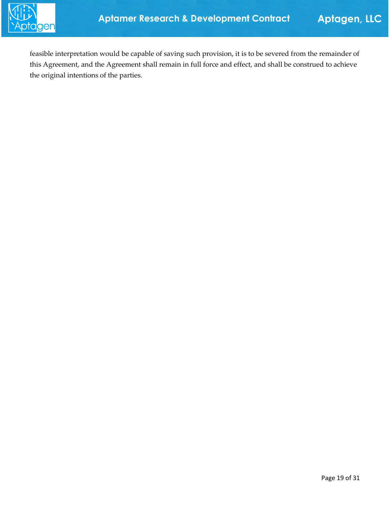

feasible interpretation would be capable of saving such provision, it is to be severed from the remainder of this Agreement, and the Agreement shall remain in full force and effect, and shall be construed to achieve the original intentions of the parties.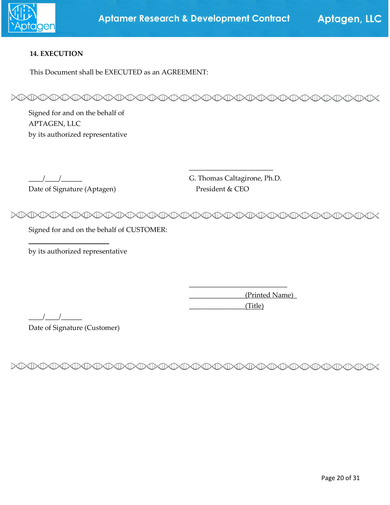

#### **14. EXECUTION**

This Document shall be EXECUTED as an AGREEMENT:

MMMMMMMMMMMMMMMMMMMMMMMMMMMMMM

Signed for and on the behalf of APTAGEN, LLC by its authorized representative

Date of Signature (Aptagen) President & CEO

\_\_\_\_/\_\_\_\_/\_\_\_\_\_\_ G. Thomas Caltagirone, Ph.D.

\_\_\_\_\_\_\_\_\_\_\_\_\_\_\_\_\_\_\_\_\_\_\_\_

MADOARDOARDOARDOARDOARDOARDOARDOARDOARDO CID

Signed for and on the behalf of CUSTOMER:

by its authorized representative

 $\overline{\phantom{a}}$  , where  $\overline{\phantom{a}}$  , where  $\overline{\phantom{a}}$ 

 \_\_\_\_\_\_\_\_\_\_\_\_\_\_\_\_(Printed Name)\_ \_\_\_\_\_\_\_\_\_\_\_\_\_\_\_\_(Title)

\_\_\_\_\_\_\_\_\_\_\_\_\_\_\_\_\_\_\_\_\_\_\_\_\_\_\_\_

 $\frac{1}{2}$   $\frac{1}{2}$   $\frac{1}{2}$   $\frac{1}{2}$   $\frac{1}{2}$   $\frac{1}{2}$   $\frac{1}{2}$   $\frac{1}{2}$   $\frac{1}{2}$   $\frac{1}{2}$   $\frac{1}{2}$   $\frac{1}{2}$   $\frac{1}{2}$   $\frac{1}{2}$   $\frac{1}{2}$   $\frac{1}{2}$   $\frac{1}{2}$   $\frac{1}{2}$   $\frac{1}{2}$   $\frac{1}{2}$   $\frac{1}{2}$   $\frac{1}{2}$ 

Date of Signature (Customer)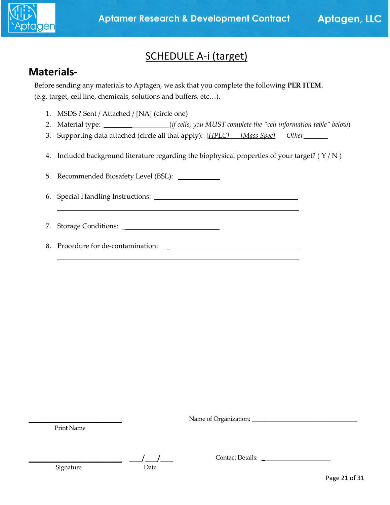

### SCHEDULE A-i (target)

### **Materials-**

Before sending any materials to Aptagen, we ask that you complete the following **PER ITEM.** (e.g. target, cell line, chemicals, solutions and buffers, etc…).

- 1. MSDS ? Sent / Attached / [NA] (circle one)
- 2. Material type: \_\_\_\_\_\_\_\_ (*if cells, you MUST complete the "cell information table" below*)
- 3. Supporting data attached (circle all that apply): [*HPLC] [Mass Spec] Other*
- 4. Included background literature regarding the biophysical properties of your target? ( $\frac{\gamma}{N}$ )

5. Recommended Biosafety Level (BSL): \_

- 6. Special Handling Instructions: \_
- 7. Storage Conditions: \_
- 8. Procedure for de-contamination: \_

Name of Organization: \_\_\_\_\_\_\_\_\_\_\_\_\_\_\_\_\_\_\_\_\_\_\_\_\_\_\_\_\_\_

Print Name

 $\overline{\phantom{a}}$  , where  $\overline{\phantom{a}}$ 

 $\frac{1}{2}$  ,  $\frac{1}{2}$  ,  $\frac{1}{2}$  ,  $\frac{1}{2}$  ,  $\frac{1}{2}$  ,  $\frac{1}{2}$  ,  $\frac{1}{2}$  ,  $\frac{1}{2}$  ,  $\frac{1}{2}$  ,  $\frac{1}{2}$  ,  $\frac{1}{2}$  ,  $\frac{1}{2}$  ,  $\frac{1}{2}$  ,  $\frac{1}{2}$  ,  $\frac{1}{2}$  ,  $\frac{1}{2}$  ,  $\frac{1}{2}$  ,  $\frac{1}{2}$  ,  $\frac{1$ 

Signature Date

Contact Details: \_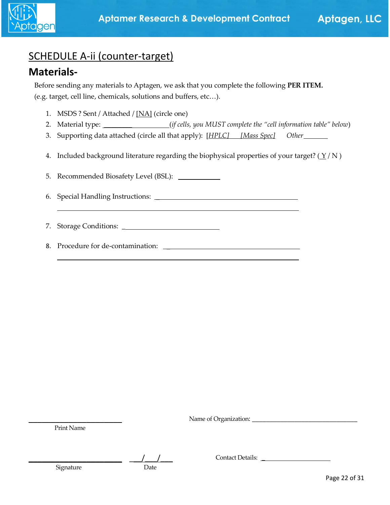

## SCHEDULE A-ii (counter-target)

### **Materials-**

Before sending any materials to Aptagen, we ask that you complete the following **PER ITEM.** (e.g. target, cell line, chemicals, solutions and buffers, etc…).

- 1. MSDS ? Sent / Attached / [NA] (circle one)
- 2. Material type: \_\_\_\_\_\_\_\_ (*if cells, you MUST complete the "cell information table" below*)
- 3. Supporting data attached (circle all that apply): [*HPLC] [Mass Spec] Other*
- 4. Included background literature regarding the biophysical properties of your target? ( $\frac{\gamma}{N}$ )

5. Recommended Biosafety Level (BSL): \_

- 6. Special Handling Instructions: \_
- 7. Storage Conditions: \_
- 8. Procedure for de-contamination: \_

Name of Organization: \_\_\_\_\_\_\_\_\_\_\_\_\_\_\_\_\_\_\_\_\_\_\_\_\_\_\_\_\_\_

Print Name

 $\overline{\phantom{a}}$  , where  $\overline{\phantom{a}}$ 

 $\frac{1}{2}$  ,  $\frac{1}{2}$  ,  $\frac{1}{2}$  ,  $\frac{1}{2}$  ,  $\frac{1}{2}$  ,  $\frac{1}{2}$  ,  $\frac{1}{2}$  ,  $\frac{1}{2}$  ,  $\frac{1}{2}$  ,  $\frac{1}{2}$  ,  $\frac{1}{2}$  ,  $\frac{1}{2}$  ,  $\frac{1}{2}$  ,  $\frac{1}{2}$  ,  $\frac{1}{2}$  ,  $\frac{1}{2}$  ,  $\frac{1}{2}$  ,  $\frac{1}{2}$  ,  $\frac{1$ 

Signature Date

Contact Details: \_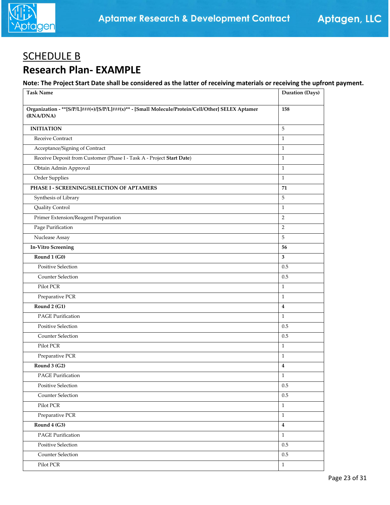

## SCHEDULE B **Research Plan- EXAMPLE**

#### **Note: The Project Start Date shall be considered as the latter of receiving materials or receiving the upfront payment.**

| <b>Task Name</b>                                                                                                   | Duration (Days)         |
|--------------------------------------------------------------------------------------------------------------------|-------------------------|
| Organization - ** [S/P/L] ###(+)/[S/P/L] ###(x)** - [Small Molecule/Protein/Cell/Other] SELEX Aptamer<br>(RNA/DNA) | 158                     |
| <b>INITIATION</b>                                                                                                  | 5                       |
| Receive Contract                                                                                                   | $\mathbf{1}$            |
| Acceptance/Signing of Contract                                                                                     | $\mathbf{1}$            |
| Receive Deposit from Customer (Phase I - Task A - Project Start Date)                                              | $\mathbf{1}$            |
| Obtain Admin Approval                                                                                              | $\mathbf{1}$            |
| Order Supplies                                                                                                     | $\mathbf{1}$            |
| PHASE I - SCREENING/SELECTION OF APTAMERS                                                                          | 71                      |
| Synthesis of Library                                                                                               | 5                       |
| Quality Control                                                                                                    | $\mathbf{1}$            |
| Primer Extension/Reagent Preparation                                                                               | $\overline{2}$          |
| Page Purification                                                                                                  | $\overline{2}$          |
| Nuclease Assay                                                                                                     | 5                       |
| <b>In-Vitro Screening</b>                                                                                          | 56                      |
| Round 1 (G0)                                                                                                       | 3                       |
| Positive Selection                                                                                                 | 0.5                     |
| <b>Counter Selection</b>                                                                                           | 0.5                     |
| Pilot PCR                                                                                                          | $\mathbf{1}$            |
| Preparative PCR                                                                                                    | $\mathbf{1}$            |
| Round 2 (G1)                                                                                                       | $\overline{\mathbf{4}}$ |
| <b>PAGE Purification</b>                                                                                           | $\mathbf{1}$            |
| Positive Selection                                                                                                 | 0.5                     |
| <b>Counter Selection</b>                                                                                           | 0.5                     |
| Pilot PCR                                                                                                          | $\mathbf{1}$            |
| Preparative PCR                                                                                                    | $\mathbf{1}$            |
| Round 3 (G2)                                                                                                       | $\overline{\mathbf{4}}$ |
| PAGE Purification                                                                                                  | 1                       |
| Positive Selection                                                                                                 | $0.5\,$                 |
| Counter Selection                                                                                                  | $0.5\,$                 |
| Pilot PCR                                                                                                          | $\mathbf{1}$            |
| Preparative PCR                                                                                                    | $\mathbf{1}$            |
| Round 4 (G3)                                                                                                       | $\boldsymbol{4}$        |
| PAGE Purification                                                                                                  | $\mathbf{1}$            |
| Positive Selection                                                                                                 | $0.5\,$                 |
| Counter Selection                                                                                                  | $0.5\,$                 |
| Pilot PCR                                                                                                          | $\mathbf{1}$            |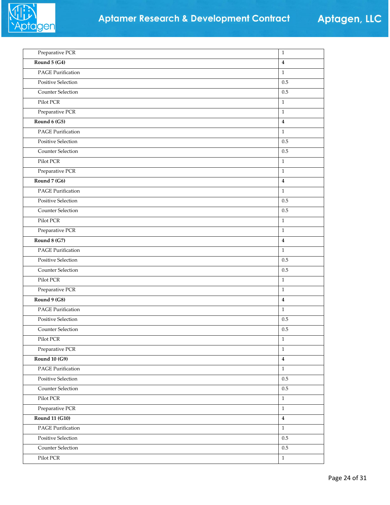

| Preparative PCR          | $\,1\,$                 |
|--------------------------|-------------------------|
| Round 5 (G4)             | $\overline{4}$          |
| PAGE Purification        | $\mathbf{1}$            |
| Positive Selection       | 0.5                     |
| Counter Selection        | 0.5                     |
| Pilot PCR                | $\mathbf{1}$            |
| Preparative PCR          | $\mathbf{1}$            |
| Round $6(G5)$            | $\overline{\mathbf{4}}$ |
| PAGE Purification        | $\mathbf{1}$            |
| Positive Selection       | 0.5                     |
| Counter Selection        | 0.5                     |
| Pilot PCR                | $\mathbf{1}$            |
| Preparative PCR          | $\mathbf{1}$            |
| Round 7 (G6)             | $\overline{4}$          |
| PAGE Purification        | $\mathbf{1}$            |
| Positive Selection       | 0.5                     |
| Counter Selection        | 0.5                     |
| Pilot PCR                | $\mathbf{1}$            |
| Preparative PCR          | $\mathbf{1}$            |
| Round 8 (G7)             | $\overline{\mathbf{4}}$ |
| PAGE Purification        | $\mathbf{1}$            |
| Positive Selection       | 0.5                     |
| Counter Selection        | 0.5                     |
| Pilot PCR                | $\mathbf{1}$            |
| Preparative PCR          | $1\,$                   |
| Round 9 (G8)             | $\boldsymbol{4}$        |
| <b>PAGE Purification</b> | $\mathbf{1}$            |
| Positive Selection       | $0.5\,$                 |
| Counter Selection        | 0.5                     |
| Pilot PCR                | $\,1\,$                 |
| Preparative PCR          | $\mathbf{1}$            |
| <b>Round 10 (G9)</b>     | $\boldsymbol{4}$        |
| PAGE Purification        | $\,1\,$                 |
| Positive Selection       | $0.5\,$                 |
| Counter Selection        | $0.5\,$                 |
| Pilot PCR                | $\,1$                   |
| Preparative PCR          | $\,1$                   |
| <b>Round 11 (G10)</b>    | $\overline{\mathbf{4}}$ |
| PAGE Purification        | $\mathbf{1}$            |
| Positive Selection       | $0.5\,$                 |
| Counter Selection        | $0.5\,$                 |
| Pilot PCR                | $\,1$                   |
|                          |                         |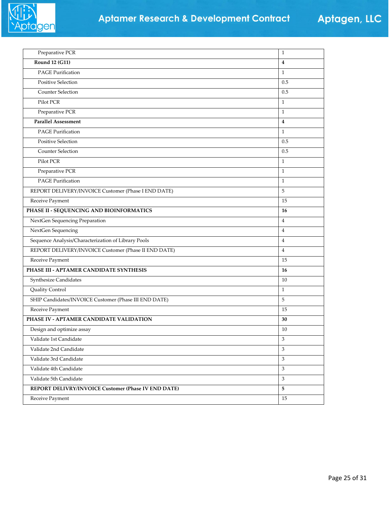

| Preparative PCR                                       | $\mathbf{1}$            |
|-------------------------------------------------------|-------------------------|
| <b>Round 12 (G11)</b>                                 | $\overline{\mathbf{4}}$ |
| <b>PAGE Purification</b>                              | $\mathbf{1}$            |
| <b>Positive Selection</b>                             | 0.5                     |
| Counter Selection                                     | 0.5                     |
| Pilot PCR                                             | $\mathbf{1}$            |
| Preparative PCR                                       | $\mathbf{1}$            |
| <b>Parallel Assessment</b>                            | $\overline{4}$          |
| <b>PAGE Purification</b>                              | $\mathbf{1}$            |
| <b>Positive Selection</b>                             | 0.5                     |
| Counter Selection                                     | 0.5                     |
| Pilot PCR                                             | $\mathbf{1}$            |
| Preparative PCR                                       | $\mathbf{1}$            |
| <b>PAGE Purification</b>                              | $\mathbf{1}$            |
| REPORT DELIVERY/INVOICE Customer (Phase I END DATE)   | 5                       |
| Receive Payment                                       | 15                      |
| PHASE II - SEQUENCING AND BIOINFORMATICS              | 16                      |
| NextGen Sequencing Preparation                        | $\overline{4}$          |
| NextGen Sequencing                                    | $\overline{4}$          |
| Sequence Analysis/Characterization of Library Pools   | $\overline{4}$          |
| REPORT DELIVERY/INVOICE Customer (Phase II END DATE)  | $\overline{4}$          |
| Receive Payment                                       | 15                      |
| PHASE III - APTAMER CANDIDATE SYNTHESIS               | 16                      |
| Synthesize Candidates                                 | 10                      |
| Quality Control                                       | $\mathbf{1}$            |
| SHIP Candidates/INVOICE Customer (Phase III END DATE) | 5                       |
| Receive Payment                                       | 15                      |
| PHASE IV - APTAMER CANDIDATE VALIDATION               | 30                      |
| Design and optimize assay                             | 10                      |
| Validate 1st Candidate                                | 3                       |
| Validate 2nd Candidate                                | 3                       |
| Validate 3rd Candidate                                | $\mathfrak{Z}$          |
| Validate 4th Candidate                                | 3                       |
| Validate 5th Candidate                                | $\mathfrak{Z}$          |
| REPORT DELIVRY/INVOICE Customer (Phase IV END DATE)   | 5                       |
| Receive Payment                                       | 15                      |
|                                                       |                         |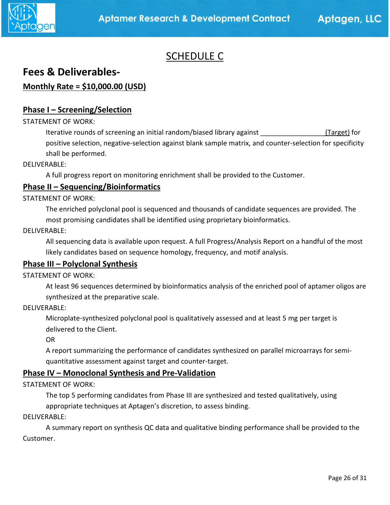

### SCHEDULE C

### **Fees & Deliverables-**

### **Monthly Rate = \$10,000.00 (USD)**

#### **Phase I – Screening/Selection**

#### STATEMENT OF WORK:

Iterative rounds of screening an initial random/biased library against \_\_\_\_\_\_\_\_\_\_\_\_\_\_\_\_\_(Target) for positive selection, negative-selection against blank sample matrix, and counter-selection for specificity shall be performed.

#### DELIVERABLE:

A full progress report on monitoring enrichment shall be provided to the Customer.

#### **Phase II – Sequencing/Bioinformatics**

STATEMENT OF WORK:

The enriched polyclonal pool is sequenced and thousands of candidate sequences are provided. The most promising candidates shall be identified using proprietary bioinformatics.

DELIVERABLE:

All sequencing data is available upon request. A full Progress/Analysis Report on a handful of the most likely candidates based on sequence homology, frequency, and motif analysis.

#### **Phase III – Polyclonal Synthesis**

STATEMENT OF WORK:

At least 96 sequences determined by bioinformatics analysis of the enriched pool of aptamer oligos are synthesized at the preparative scale.

DELIVERABLE:

Microplate-synthesized polyclonal pool is qualitatively assessed and at least 5 mg per target is delivered to the Client.

OR

A report summarizing the performance of candidates synthesized on parallel microarrays for semiquantitative assessment against target and counter-target.

#### **Phase IV – Monoclonal Synthesis and Pre-Validation**

STATEMENT OF WORK:

The top 5 performing candidates from Phase III are synthesized and tested qualitatively, using appropriate techniques at Aptagen's discretion, to assess binding.

DELIVERABLE:

A summary report on synthesis QC data and qualitative binding performance shall be provided to the Customer.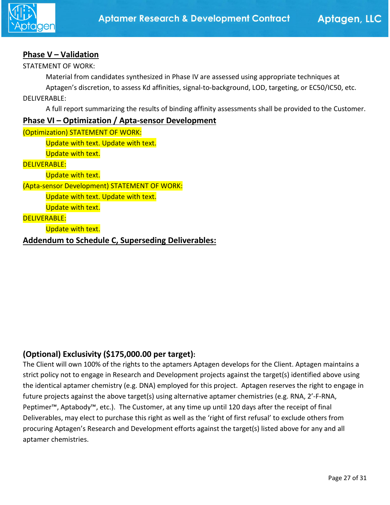

#### **Phase V – Validation**

STATEMENT OF WORK:

Material from candidates synthesized in Phase IV are assessed using appropriate techniques at

Aptagen's discretion, to assess Kd affinities, signal-to-background, LOD, targeting, or EC50/IC50, etc.

DELIVERABLE:

A full report summarizing the results of binding affinity assessments shall be provided to the Customer.

#### **Phase VI – Optimization / Apta-sensor Development**

(Optimization) STATEMENT OF WORK: Update with text. Update with text. Update with text. DELIVERABLE: Update with text. (Apta-sensor Development) STATEMENT OF WORK: Update with text. Update with text. Update with text. DELIVERABLE: Update with text. **Addendum to Schedule C, Superseding Deliverables:**

### **(Optional) Exclusivity (\$175,000.00 per target):**

The Client will own 100% of the rights to the aptamers Aptagen develops for the Client. Aptagen maintains a strict policy not to engage in Research and Development projects against the target(s) identified above using the identical aptamer chemistry (e.g. DNA) employed for this project. Aptagen reserves the right to engage in future projects against the above target(s) using alternative aptamer chemistries (e.g. RNA, 2'-F-RNA, Peptimer™, Aptabody™, etc.). The Customer, at any time up until 120 days after the receipt of final Deliverables, may elect to purchase this right as well as the 'right of first refusal' to exclude others from procuring Aptagen's Research and Development efforts against the target(s) listed above for any and all aptamer chemistries.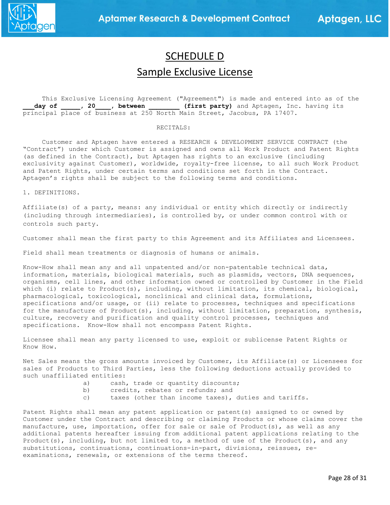

# SCHEDULE D Sample Exclusive License

 This Exclusive Licensing Agreement ("Agreement") is made and entered into as of the day of \_\_\_\_\_, 20\_\_\_\_, between \_\_\_\_\_\_\_\_ (first party) and Aptagen, Inc. having its principal place of business at 250 North Main Street, Jacobus, PA 17407.

#### RECITALS:

 Customer and Aptagen have entered a RESEARCH & DEVELOPMENT SERVICE CONTRACT (the "Contract") under which Customer is assigned and owns all Work Product and Patent Rights (as defined in the Contract), but Aptagen has rights to an exclusive (including exclusivity against Customer), worldwide, royalty-free license, to all such Work Product and Patent Rights, under certain terms and conditions set forth in the Contract. Aptagen's rights shall be subject to the following terms and conditions.

1. DEFINITIONS.

Affiliate(s) of a party, means: any individual or entity which directly or indirectly (including through intermediaries), is controlled by, or under common control with or controls such party.

Customer shall mean the first party to this Agreement and its Affiliates and Licensees.

Field shall mean treatments or diagnosis of humans or animals.

Know-How shall mean any and all unpatented and/or non-patentable technical data, information, materials, biological materials, such as plasmids, vectors, DNA sequences, organisms, cell lines, and other information owned or controlled by Customer in the Field which (i) relate to Product(s), including, without limitation, its chemical, biological, pharmacological, toxicological, nonclinical and clinical data, formulations, specifications and/or usage, or (ii) relate to processes, techniques and specifications for the manufacture of Product(s), including, without limitation, preparation, synthesis, culture, recovery and purification and quality control processes, techniques and specifications. Know-How shall not encompass Patent Rights.

Licensee shall mean any party licensed to use, exploit or sublicense Patent Rights or Know How.

Net Sales means the gross amounts invoiced by Customer, its Affiliate(s) or Licensees for sales of Products to Third Parties, less the following deductions actually provided to such unaffiliated entities:

- a) cash, trade or quantity discounts;<br>b) credits, rebates or refunds; and
- b) credits, rebates or refunds; and c) taxes (other than income taxes),
- taxes (other than income taxes), duties and tariffs.

Patent Rights shall mean any patent application or patent(s) assigned to or owned by Customer under the Contract and describing or claiming Products or whose claims cover the manufacture, use, importation, offer for sale or sale of Product(s), as well as any additional patents hereafter issuing from additional patent applications relating to the Product(s), including, but not limited to, a method of use of the Product(s), and any substitutions, continuations, continuations-in-part, divisions, reissues, reexaminations, renewals, or extensions of the terms thereof.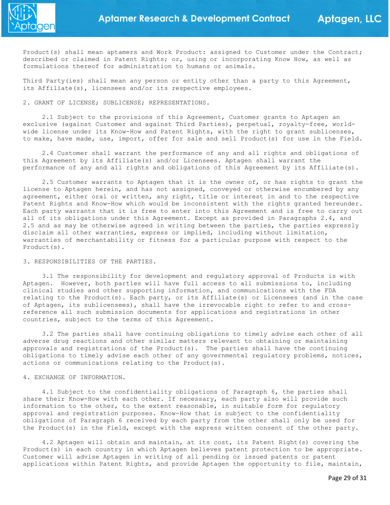

Product(s) shall mean aptamers and Work Product: assigned to Customer under the Contract; described or claimed in Patent Rights; or, using or incorporating Know How, as well as formulations thereof for administration to humans or animals.

Third Party(ies) shall mean any person or entity other than a party to this Agreement, its Affiliate(s), licensees and/or its respective employees.

2. GRANT OF LICENSE; SUBLICENSE; REPRESENTATIONS.

 2.1 Subject to the provisions of this Agreement, Customer grants to Aptagen an exclusive (against Customer and against Third Parties), perpetual, royalty-free, worldwide license under its Know-How and Patent Rights, with the right to grant sublicenses, to make, have made, use, import, offer for sale and sell Product(s) for use in the Field.

 2.4 Customer shall warrant the performance of any and all rights and obligations of this Agreement by its Affiliate(s) and/or Licensees. Aptagen shall warrant the performance of any and all rights and obligations of this Agreement by its Affiliate(s).

 2.5 Customer warrants to Aptagen that it is the owner of, or has rights to grant the license to Aptagen herein, and has not assigned, conveyed or otherwise encumbered by any agreement, either oral or written, any right, title or interest in and to the respective Patent Rights and Know-How which would be inconsistent with the rights granted hereunder. Each party warrants that it is free to enter into this Agreement and is free to carry out all of its obligations under this Agreement. Except as provided in Paragraphs 2.4, and 2.5 and as may be otherwise agreed in writing between the parties, the parties expressly disclaim all other warranties, express or implied, including without limitation, warranties of merchantability or fitness for a particular purpose with respect to the Product(s).

3. RESPONSIBILITIES OF THE PARTIES.

 3.1 The responsibility for development and regulatory approval of Products is with Aptagen. However, both parties will have full access to all submissions to, including clinical studies and other supporting information, and communications with the FDA relating to the Product(s). Each party, or its Affiliate(s) or Licensees (and in the case of Aptagen, its sublicensees), shall have the irrevocable right to refer to and crossreference all such submission documents for applications and registrations in other countries, subject to the terms of this Agreement.

 3.2 The parties shall have continuing obligations to timely advise each other of all adverse drug reactions and other similar matters relevant to obtaining or maintaining approvals and registrations of the Product(s). The parties shall have the continuing obligations to timely advise each other of any governmental regulatory problems, notices, actions or communications relating to the Product(s).

#### 4. EXCHANGE OF INFORMATION.

 4.1 Subject to the confidentiality obligations of Paragraph 6, the parties shall share their Know-How with each other. If necessary, each party also will provide such information to the other, to the extent reasonable, in suitable form for regulatory approval and registration purposes. Know-How that is subject to the confidentiality obligations of Paragraph 6 received by each party from the other shall only be used for the Product(s) in the Field, except with the express written consent of the other party.

 4.2 Aptagen will obtain and maintain, at its cost, its Patent Right(s) covering the Product(s) in each country in which Aptagen believes patent protection to be appropriate. Customer will advise Aptagen in writing of all pending or issued patents or patent applications within Patent Rights, and provide Aptagen the opportunity to file, maintain,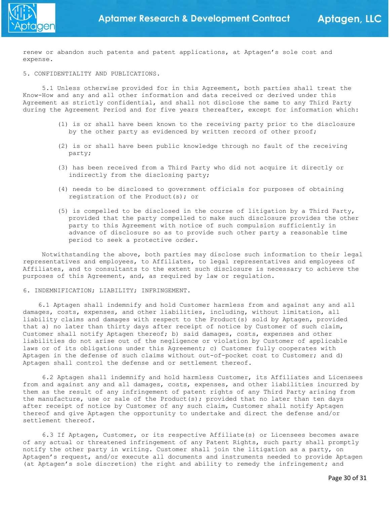renew or abandon such patents and patent applications, at Aptagen's sole cost and expense.

5. CONFIDENTIALITY AND PUBLICATIONS.

 5.1 Unless otherwise provided for in this Agreement, both parties shall treat the Know-How and any and all other information and data received or derived under this Agreement as strictly confidential, and shall not disclose the same to any Third Party during the Agreement Period and for five years thereafter, except for information which:

- (1) is or shall have been known to the receiving party prior to the disclosure by the other party as evidenced by written record of other proof;
- (2) is or shall have been public knowledge through no fault of the receiving party;
- (3) has been received from a Third Party who did not acquire it directly or indirectly from the disclosing party;
- (4) needs to be disclosed to government officials for purposes of obtaining registration of the Product(s); or
- (5) is compelled to be disclosed in the course of litigation by a Third Party, provided that the party compelled to make such disclosure provides the other party to this Agreement with notice of such compulsion sufficiently in advance of disclosure so as to provide such other party a reasonable time period to seek a protective order.

 Notwithstanding the above, both parties may disclose such information to their legal representatives and employees, to Affiliates, to legal representatives and employees of Affiliates, and to consultants to the extent such disclosure is necessary to achieve the purposes of this Agreement, and, as required by law or regulation.

6. INDEMNIFICATION; LIABILITY; INFRINGEMENT.

 6.1 Aptagen shall indemnify and hold Customer harmless from and against any and all damages, costs, expenses, and other liabilities, including, without limitation, all liability claims and damages with respect to the Product(s) sold by Aptagen, provided that a) no later than thirty days after receipt of notice by Customer of such claim, Customer shall notify Aptagen thereof; b) said damages, costs, expenses and other liabilities do not arise out of the negligence or violation by Customer of applicable laws or of its obligations under this Agreement; c) Customer fully cooperates with Aptagen in the defense of such claims without out-of-pocket cost to Customer; and d) Aptagen shall control the defense and or settlement thereof.

 6.2 Aptagen shall indemnify and hold harmless Customer, its Affiliates and Licensees from and against any and all damages, costs, expenses, and other liabilities incurred by them as the result of any infringement of patent rights of any Third Party arising from the manufacture, use or sale of the Product(s); provided that no later than ten days after receipt of notice by Customer of any such claim, Customer shall notify Aptagen thereof and give Aptagen the opportunity to undertake and direct the defense and/or settlement thereof.

 6.3 If Aptagen, Customer, or its respective Affiliate(s) or Licensees becomes aware of any actual or threatened infringement of any Patent Rights, such party shall promptly notify the other party in writing. Customer shall join the litigation as a party, on Aptagen's request, and/or execute all documents and instruments needed to provide Aptagen (at Aptagen's sole discretion) the right and ability to remedy the infringement; and